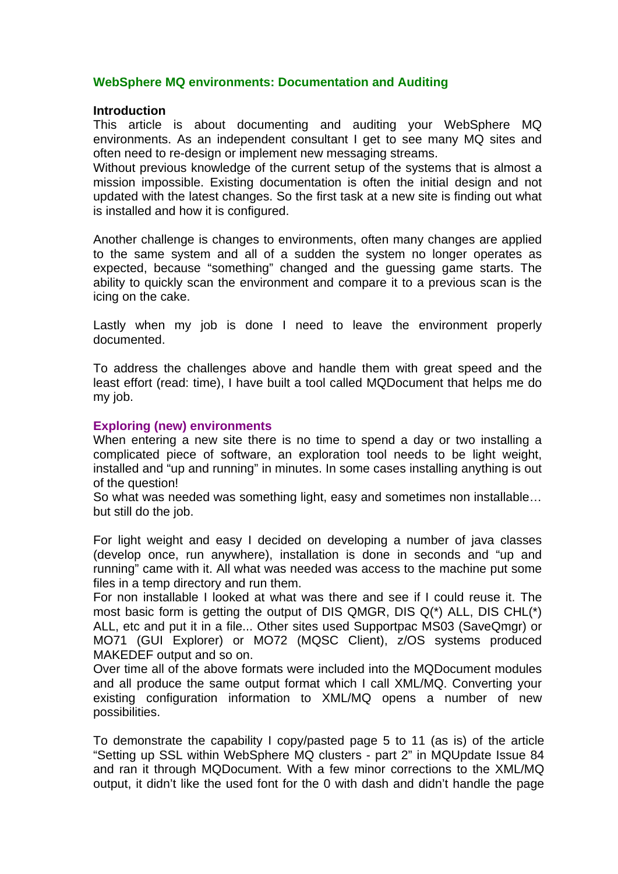# **WebSphere MQ environments: Documentation and Auditing**

### **Introduction**

This article is about documenting and auditing your WebSphere MQ environments. As an independent consultant I get to see many MQ sites and often need to re-design or implement new messaging streams.

Without previous knowledge of the current setup of the systems that is almost a mission impossible. Existing documentation is often the initial design and not updated with the latest changes. So the first task at a new site is finding out what is installed and how it is configured.

Another challenge is changes to environments, often many changes are applied to the same system and all of a sudden the system no longer operates as expected, because "something" changed and the guessing game starts. The ability to quickly scan the environment and compare it to a previous scan is the icing on the cake.

Lastly when my job is done I need to leave the environment properly documented.

To address the challenges above and handle them with great speed and the least effort (read: time), I have built a tool called MQDocument that helps me do my job.

## **Exploring (new) environments**

When entering a new site there is no time to spend a day or two installing a complicated piece of software, an exploration tool needs to be light weight, installed and "up and running" in minutes. In some cases installing anything is out of the question!

So what was needed was something light, easy and sometimes non installable… but still do the job.

For light weight and easy I decided on developing a number of java classes (develop once, run anywhere), installation is done in seconds and "up and running" came with it. All what was needed was access to the machine put some files in a temp directory and run them.

For non installable I looked at what was there and see if I could reuse it. The most basic form is getting the output of DIS QMGR, DIS Q(\*) ALL, DIS CHL(\*) ALL, etc and put it in a file... Other sites used Supportpac MS03 (SaveQmgr) or MO71 (GUI Explorer) or MO72 (MQSC Client), z/OS systems produced MAKEDEF output and so on.

Over time all of the above formats were included into the MQDocument modules and all produce the same output format which I call XML/MQ. Converting your existing configuration information to XML/MQ opens a number of new possibilities.

To demonstrate the capability I copy/pasted page 5 to 11 (as is) of the article "Setting up SSL within WebSphere MQ clusters - part 2" in MQUpdate Issue 84 and ran it through MQDocument. With a few minor corrections to the XML/MQ output, it didn't like the used font for the 0 with dash and didn't handle the page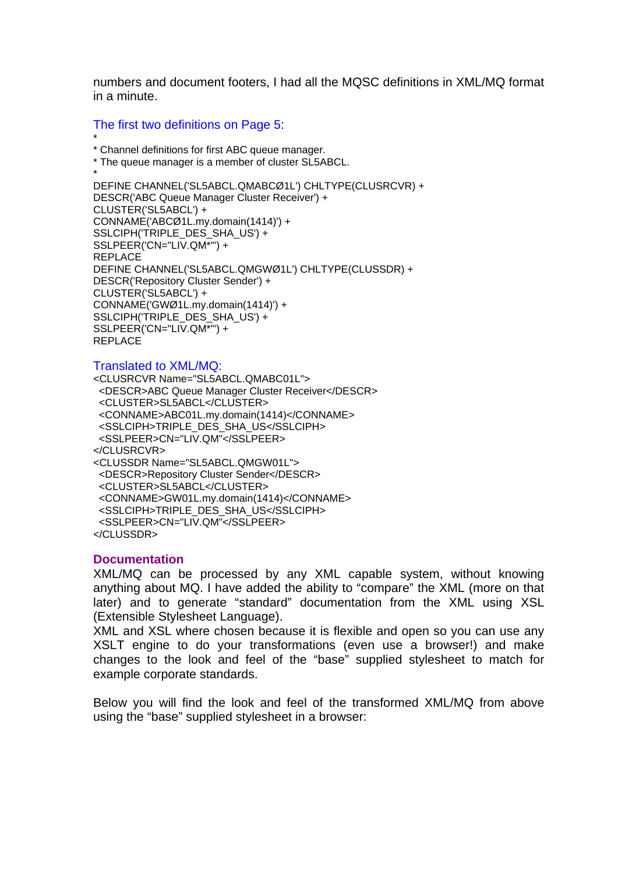numbers and document footers, I had all the MQSC definitions in XML/MQ format in a minute.

## The first two definitions on Page 5:

```
* 
* Channel definitions for first ABC queue manager.
```
\* The queue manager is a member of cluster SL5ABCL.

```
* 
DEFINE CHANNEL('SL5ABCL.QMABCØ1L') CHLTYPE(CLUSRCVR) + 
DESCR('ABC Queue Manager Cluster Receiver') + 
CLUSTER('SL5ABCL') + 
CONNAME('ABCØ1L.my.domain(1414)') + 
SSLCIPH('TRIPLE_DES_SHA_US') +
SSLPEER('CN="LIV.QM*"') + 
REPLACE 
DEFINE CHANNEL('SL5ABCL.QMGWØ1L') CHLTYPE(CLUSSDR) + 
DESCR('Repository Cluster Sender') + 
CLUSTER('SL5ABCL') + 
CONNAME('GWØ1L.my.domain(1414)') + 
SSLCIPH('TRIPLE_DES_SHA_US') +
SSLPEER('CN="LIV.QM*"') + 
REPLACE
```
## Translated to XML/MQ:

<CLUSRCVR Name="SL5ABCL.QMABC01L"> <DESCR>ABC Queue Manager Cluster Receiver</DESCR> <CLUSTER>SL5ABCL</CLUSTER> <CONNAME>ABC01L.my.domain(1414)</CONNAME> <SSLCIPH>TRIPLE\_DES\_SHA\_US</SSLCIPH> <SSLPEER>CN="LIV.QM"</SSLPEER> </CLUSRCVR> <CLUSSDR Name="SL5ABCL.QMGW01L"> <DESCR>Repository Cluster Sender</DESCR> <CLUSTER>SL5ABCL</CLUSTER> <CONNAME>GW01L.my.domain(1414)</CONNAME> <SSLCIPH>TRIPLE\_DES\_SHA\_US</SSLCIPH> <SSLPEER>CN="LIV.QM"</SSLPEER> </CLUSSDR>

## **Documentation**

XML/MQ can be processed by any XML capable system, without knowing anything about MQ. I have added the ability to "compare" the XML (more on that later) and to generate "standard" documentation from the XML using XSL (Extensible Stylesheet Language).

XML and XSL where chosen because it is flexible and open so you can use any XSLT engine to do your transformations (even use a browser!) and make changes to the look and feel of the "base" supplied stylesheet to match for example corporate standards.

Below you will find the look and feel of the transformed XML/MQ from above using the "base" supplied stylesheet in a browser: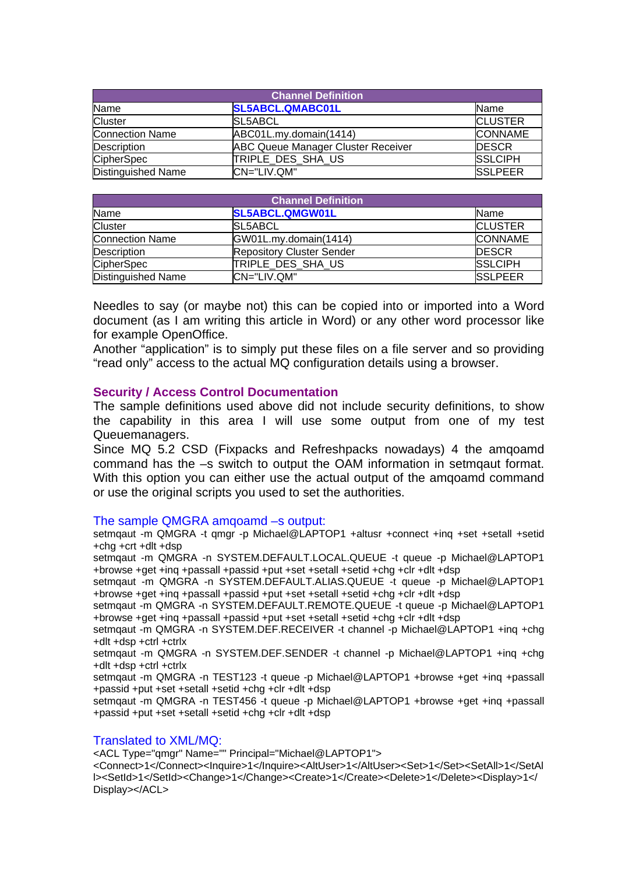| <b>Channel Definition</b> |                                           |                |  |  |  |  |
|---------------------------|-------------------------------------------|----------------|--|--|--|--|
| Name                      | <b>SL5ABCL.QMABC01L</b>                   | <b>Name</b>    |  |  |  |  |
| <b>Cluster</b>            | <b>SL5ABCL</b>                            | <b>CLUSTER</b> |  |  |  |  |
| <b>Connection Name</b>    | ABC01L.my.domain(1414)                    | <b>CONNAME</b> |  |  |  |  |
| Description               | <b>ABC Queue Manager Cluster Receiver</b> | <b>DESCR</b>   |  |  |  |  |
| <b>CipherSpec</b>         | TRIPLE DES SHA US                         | <b>SSLCIPH</b> |  |  |  |  |
| <b>Distinguished Name</b> | CN="LIV.QM"                               | <b>SSLPEER</b> |  |  |  |  |

| <b>Channel Definition</b> |                                  |                |  |  |  |
|---------------------------|----------------------------------|----------------|--|--|--|
| Name                      | SL5ABCL.QMGW01L                  | <b>Name</b>    |  |  |  |
| <b>Cluster</b>            | <b>SL5ABCL</b>                   | <b>CLUSTER</b> |  |  |  |
| <b>Connection Name</b>    | GW01L.my.domain(1414)            | <b>CONNAME</b> |  |  |  |
| Description               | <b>Repository Cluster Sender</b> | <b>DESCR</b>   |  |  |  |
| <b>CipherSpec</b>         | TRIPLE DES SHA US                | <b>SSLCIPH</b> |  |  |  |
| Distinguished Name        | CN="LIV.QM"                      | <b>SSLPEER</b> |  |  |  |

Needles to say (or maybe not) this can be copied into or imported into a Word document (as I am writing this article in Word) or any other word processor like for example OpenOffice.

Another "application" is to simply put these files on a file server and so providing "read only" access to the actual MQ configuration details using a browser.

### **Security / Access Control Documentation**

The sample definitions used above did not include security definitions, to show the capability in this area I will use some output from one of my test Queuemanagers.

Since MQ 5.2 CSD (Fixpacks and Refreshpacks nowadays) 4 the amqoamd command has the –s switch to output the OAM information in setmqaut format. With this option you can either use the actual output of the amqoamd command or use the original scripts you used to set the authorities.

#### The sample QMGRA amqoamd –s output:

setmqaut -m QMGRA -t qmgr -p Michael@LAPTOP1 +altusr +connect +inq +set +setall +setid +chg +crt +dlt +dsp

setmqaut -m QMGRA -n SYSTEM.DEFAULT.LOCAL.QUEUE -t queue -p Michael@LAPTOP1 +browse +get +inq +passall +passid +put +set +setall +setid +chg +clr +dlt +dsp

setmqaut -m QMGRA -n SYSTEM.DEFAULT.ALIAS.QUEUE -t queue -p Michael@LAPTOP1 +browse +get +inq +passall +passid +put +set +setall +setid +chg +clr +dlt +dsp

setmqaut -m QMGRA -n SYSTEM.DEFAULT.REMOTE.QUEUE -t queue -p Michael@LAPTOP1 +browse +get +inq +passall +passid +put +set +setall +setid +chg +clr +dlt +dsp

setmqaut -m QMGRA -n SYSTEM.DEF.RECEIVER -t channel -p Michael@LAPTOP1 +inq +chg +dlt +dsp +ctrl +ctrlx

setmqaut -m QMGRA -n SYSTEM.DEF.SENDER -t channel -p Michael@LAPTOP1 +inq +chg +dlt +dsp +ctrl +ctrlx

setmqaut -m QMGRA -n TEST123 -t queue -p Michael@LAPTOP1 +browse +get +inq +passall +passid +put +set +setall +setid +chg +clr +dlt +dsp

setmqaut -m QMGRA -n TEST456 -t queue -p Michael@LAPTOP1 +browse +get +inq +passall +passid +put +set +setall +setid +chg +clr +dlt +dsp

#### Translated to XML/MQ:

<ACL Type="qmgr" Name="" Principal="Michael@LAPTOP1">

<Connect>1</Connect><Inquire>1</Inquire><AltUser>1</AltUser><Set>1</Set><SetAll>1</SetAl l><SetId>1</SetId><Change>1</Change><Create>1</Create><Delete>1</Delete><Display>1</ Display></ACL>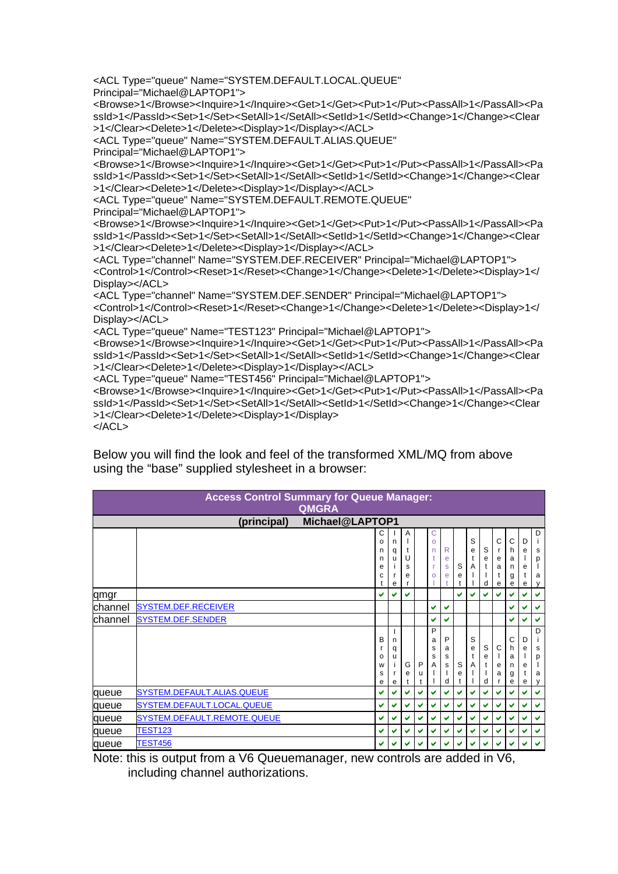```
<ACL Type="queue" Name="SYSTEM.DEFAULT.LOCAL.QUEUE" 
Principal="Michael@LAPTOP1"> 
<Browse>1</Browse><Inquire>1</Inquire><Get>1</Get><Put>1</Put><PassAll>1</PassAll><Pa
ssId>1</PassId><Set>1</Set><SetAll>1</SetAll><SetId>1</SetId><Change>1</Change><Clear
>1</Clear><Delete>1</Delete><Display>1</Display></ACL> 
<ACL Type="queue" Name="SYSTEM.DEFAULT.ALIAS.QUEUE" 
Principal="Michael@LAPTOP1"> 
<Browse>1</Browse><Inquire>1</Inquire><Get>1</Get><Put>1</Put><PassAll>1</PassAll><Pa
ssId>1</PassId><Set>1</Set><SetAll>1</SetAll><SetId>1</SetId><Change>1</Change><Clear
>1</Clear><Delete>1</Delete><Display>1</Display></ACL> 
<ACL Type="queue" Name="SYSTEM.DEFAULT.REMOTE.QUEUE" 
Principal="Michael@LAPTOP1"> 
<Browse>1</Browse><Inquire>1</Inquire><Get>1</Get><Put>1</Put><PassAll>1</PassAll><Pa
ssId>1</PassId><Set>1</Set><SetAll>1</SetAll><SetId>1</SetId><Change>1</Change><Clear
>1</Clear><Delete>1</Delete><Display>1</Display></ACL> 
<ACL Type="channel" Name="SYSTEM.DEF.RECEIVER" Principal="Michael@LAPTOP1"> 
<Control>1</Control><Reset>1</Reset><Change>1</Change><Delete>1</Delete><Display>1</
Display></ACL> 
<ACL Type="channel" Name="SYSTEM.DEF.SENDER" Principal="Michael@LAPTOP1"> 
<Control>1</Control><Reset>1</Reset><Change>1</Change><Delete>1</Delete><Display>1</
Display></ACL> 
<ACL Type="queue" Name="TEST123" Principal="Michael@LAPTOP1"> 
<Browse>1</Browse><Inquire>1</Inquire><Get>1</Get><Put>1</Put><PassAll>1</PassAll><Pa
ssId>1</PassId><Set>1</Set><SetAll>1</SetAll><SetId>1</SetId><Change>1</Change><Clear
>1</Clear><Delete>1</Delete><Display>1</Display></ACL> 
<ACL Type="queue" Name="TEST456" Principal="Michael@LAPTOP1"> 
<Browse>1</Browse><Inquire>1</Inquire><Get>1</Get><Put>1</Put><PassAll>1</PassAll><Pa
ssId>1</PassId><Set>1</Set><SetAll>1</SetAll><SetId>1</SetId><Change>1</Change><Clear
>1</Clear><Delete>1</Delete><Display>1</Display> 
</ACL>
```
Below you will find the look and feel of the transformed XML/MQ from above using the "base" supplied stylesheet in a browser:

| <b>Access Control Summary for Queue Manager:</b><br><b>QMGRA</b> |                             |                            |                  |                       |        |                                        |                       |        |                  |                  |                                       |                            |                  |                            |
|------------------------------------------------------------------|-----------------------------|----------------------------|------------------|-----------------------|--------|----------------------------------------|-----------------------|--------|------------------|------------------|---------------------------------------|----------------------------|------------------|----------------------------|
| Michael@LAPTOP1<br>(principal)                                   |                             |                            |                  |                       |        |                                        |                       |        |                  |                  |                                       |                            |                  |                            |
|                                                                  |                             | C<br>o<br>n<br>n<br>e<br>C | n<br>q<br>u<br>e | A<br>t<br>U<br>s<br>e |        | $\mathsf{C}$<br>$\circ$<br>n<br>t<br>O | R<br>е<br>S<br>e      | S<br>e | S<br>e<br>t<br>A | S<br>e<br>d      | C<br>$\mathbf{r}$<br>е<br>a<br>t<br>е | Ċ<br>h<br>а<br>n<br>g<br>е | D<br>e<br>е<br>е | D<br>s<br>p<br>a<br>у      |
| qmgr                                                             |                             | v                          | u                | ✓                     |        |                                        |                       | v      | v                | ✔                | ✔                                     | ✔                          | ✓                | v                          |
| channel                                                          | <b>SYSTEM.DEF.RECEIVER</b>  |                            |                  |                       |        | ✓                                      | V                     |        |                  |                  |                                       | ✔                          | ✓                | ✔                          |
| channel                                                          | <b>SYSTEM.DEF.SENDER</b>    |                            |                  |                       |        | ✔                                      | ✔                     |        |                  |                  |                                       | ✔                          | ✔                | ✔                          |
|                                                                  |                             | B<br>o<br>W<br>s<br>e      | n<br>q<br>u<br>e | G<br>е<br>t           | P<br>u | P<br>a<br>s<br>s<br>Α                  | P<br>a<br>s<br>s<br>d | S<br>e | S<br>e<br>A      | S<br>e<br>t<br>d | С<br>е<br>a                           | С<br>h<br>a<br>n<br>g<br>е | D<br>e<br>e<br>e | D<br>÷<br>s<br>p<br>a<br>v |
| queue                                                            | SYSTEM.DEFAULT.ALIAS.QUEUE  | ✔                          | ✓                | ✔                     | ✓      | ✓                                      | V                     | v      | v                | V                | ✓                                     | ✔                          | ✓                | v                          |
| queue                                                            | SYSTEM.DEFAULT.LOCAL.QUEUE  | v                          | v                | ✔                     | ✔      | ✔                                      | ✔                     | ✔      | ✔                | ✔                | ✔                                     | ✔                          | ✔                | ✔                          |
| queue                                                            | SYSTEM.DEFAULT.REMOTE.QUEUE | v                          |                  | ✔                     | ✔      | ✔                                      | V                     | ✓      | ✔                | ✔                | ✔                                     | v                          | ✓                | v                          |
| queue                                                            | <b>TEST123</b>              | v                          | v                | ✔                     | ✔      | ✔                                      | $\checkmark$          | ✓      | ✔                | ✔                | ✔                                     | ✔                          | ✔                | v                          |
| queue                                                            | <b>TEST456</b>              | ✔                          |                  | ✔                     | ✔      | v                                      | ✔                     | v      | v                |                  | ✔                                     | ✔                          | ✔                | ✓                          |

Note: this is output from a V6 Queuemanager, new controls are added in V6, including channel authorizations.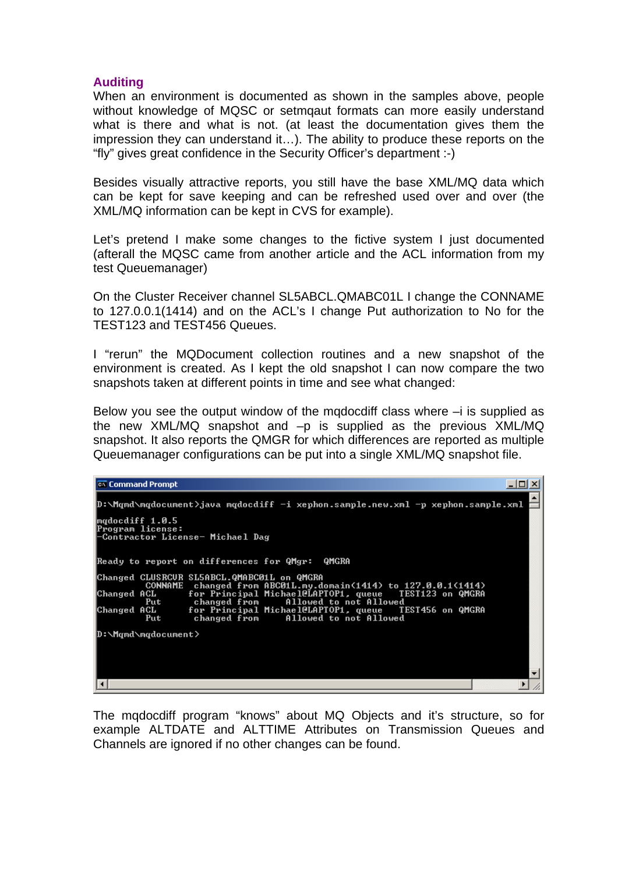# **Auditing**

When an environment is documented as shown in the samples above, people without knowledge of MQSC or setmqaut formats can more easily understand what is there and what is not. (at least the documentation gives them the impression they can understand it…). The ability to produce these reports on the "fly" gives great confidence in the Security Officer's department :-)

Besides visually attractive reports, you still have the base XML/MQ data which can be kept for save keeping and can be refreshed used over and over (the XML/MQ information can be kept in CVS for example).

Let's pretend I make some changes to the fictive system I just documented (afterall the MQSC came from another article and the ACL information from my test Queuemanager)

On the Cluster Receiver channel SL5ABCL.QMABC01L I change the CONNAME to 127.0.0.1(1414) and on the ACL's I change Put authorization to No for the TEST123 and TEST456 Queues.

I "rerun" the MQDocument collection routines and a new snapshot of the environment is created. As I kept the old snapshot I can now compare the two snapshots taken at different points in time and see what changed:

Below you see the output window of the mqdocdiff class where  $-i$  is supplied as the new XML/MQ snapshot and -p is supplied as the previous XML/MQ snapshot. It also reports the QMGR for which differences are reported as multiple Queuemanager configurations can be put into a single XML/MQ snapshot file.

| <b>Ext.</b> Command Prompt                                                                                               |  |
|--------------------------------------------------------------------------------------------------------------------------|--|
| D:\Mqmd\mqdocument>java mqdocdiff -i xephon.sample.new.xml -p xephon.sample.xml                                          |  |
| mqdocdiff 1.0.5<br>Program license:<br>-Contractor License- Michael Dag                                                  |  |
| Ready to report on differences for QMgr:   QMGRA                                                                         |  |
| Changed CLUSRCUR SL5ABCL.QMABC01L on QMGRA<br>CONNAME changed from ABC01L.my.domain(1414) to $127.0.01(1414)$            |  |
| for Principal Michael@LAPTOP1, queue   TEST123 on QMGRA<br> Changed ACL<br>Allowed to not Allowed<br>changed from<br>Put |  |
| for Principal Michael@LAPTOP1, queue TEST456 on QMGRA<br> Changed ACL<br>Allowed to not Allowed<br>changed from<br>Put   |  |
| D:\Mgmd\mgdocument>                                                                                                      |  |
|                                                                                                                          |  |
|                                                                                                                          |  |
|                                                                                                                          |  |

The mqdocdiff program "knows" about MQ Objects and it's structure, so for example ALTDATE and ALTTIME Attributes on Transmission Queues and Channels are ignored if no other changes can be found.